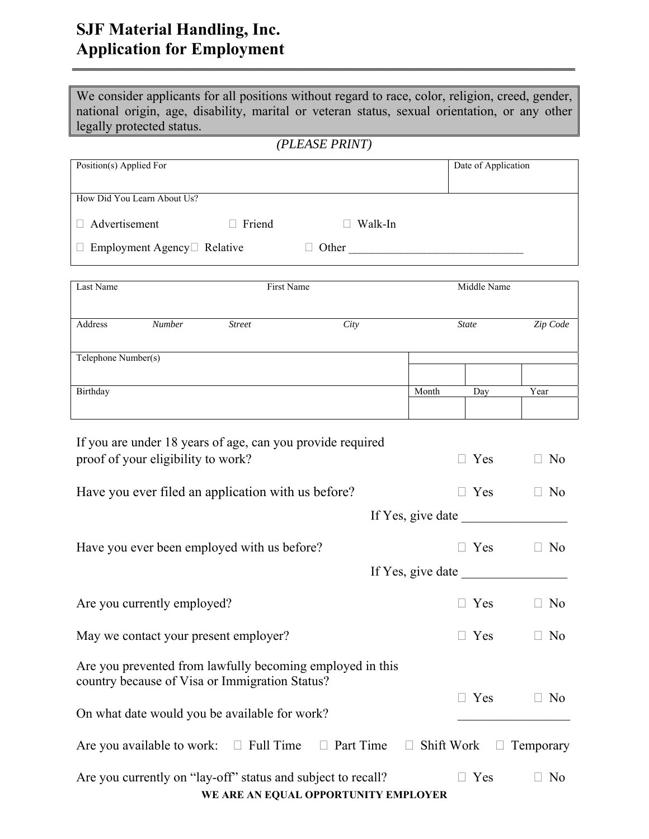### **SJF Material Handling, Inc. Application for Employment**

| We consider applicants for all positions without regard to race, color, religion, creed, gender, |
|--------------------------------------------------------------------------------------------------|
| national origin, age, disability, marital or veteran status, sexual orientation, or any other    |
| legally protected status.                                                                        |

\_\_\_\_\_\_\_\_\_\_\_\_\_\_\_\_\_\_\_\_\_\_\_\_\_\_\_\_\_\_\_\_\_\_\_\_\_\_\_\_\_\_\_\_\_\_\_\_\_\_\_\_\_\_\_\_\_\_\_\_\_\_\_\_\_\_\_\_\_\_\_\_\_\_\_\_\_\_\_\_\_\_\_\_\_\_\_\_\_\_\_\_\_\_\_

*(PLEASE PRINT)* 

| Position(s) Applied For                  |               |        |         | Date of Application |  |
|------------------------------------------|---------------|--------|---------|---------------------|--|
|                                          |               |        |         |                     |  |
|                                          |               |        |         |                     |  |
|                                          |               |        |         |                     |  |
| How Did You Learn About Us?              |               |        |         |                     |  |
|                                          |               |        |         |                     |  |
|                                          |               |        |         |                     |  |
| $\Box$ Advertisement                     | $\Box$ Friend | $\Box$ | Walk-In |                     |  |
|                                          |               |        |         |                     |  |
|                                          |               |        |         |                     |  |
| $\Box$ Employment Agency $\Box$ Relative |               | Other  |         |                     |  |
|                                          |               |        |         |                     |  |

| Last Name           |        | First Name    |      |       | Middle Name  |          |
|---------------------|--------|---------------|------|-------|--------------|----------|
| Address             | Number | <b>Street</b> | City |       | <b>State</b> | Zip Code |
| Telephone Number(s) |        |               |      |       |              |          |
|                     |        |               |      |       |              |          |
| Birthday            |        |               |      | Month | Day          | Year     |
|                     |        |               |      |       |              |          |

| If you are under 18 years of age, can you provide required<br>proof of your eligibility to work?            | $\Box$ Yes | No                             |
|-------------------------------------------------------------------------------------------------------------|------------|--------------------------------|
| Have you ever filed an application with us before?                                                          | $\Box$ Yes | N <sub>o</sub>                 |
| If Yes, give date                                                                                           |            |                                |
| Have you ever been employed with us before?                                                                 | Yes        | No                             |
| If Yes, give date                                                                                           |            |                                |
| Are you currently employed?                                                                                 | $\Box$ Yes | N <sub>o</sub><br>$\mathbf{L}$ |
| May we contact your present employer?                                                                       | Yes        | N <sub>o</sub>                 |
| Are you prevented from lawfully becoming employed in this<br>country because of Visa or Immigration Status? | Yes        | N <sub>o</sub>                 |
| On what date would you be available for work?                                                               |            |                                |
| Are you available to work: $\square$ Full Time<br>$\Box$ Part Time<br>$\Box$                                | Shift Work | Temporary                      |
| Are you currently on "lay-off" status and subject to recall?<br>WE ARE AN EQUAL OPPORTUNITY EMPLOYER        | Yes        | N <sub>o</sub>                 |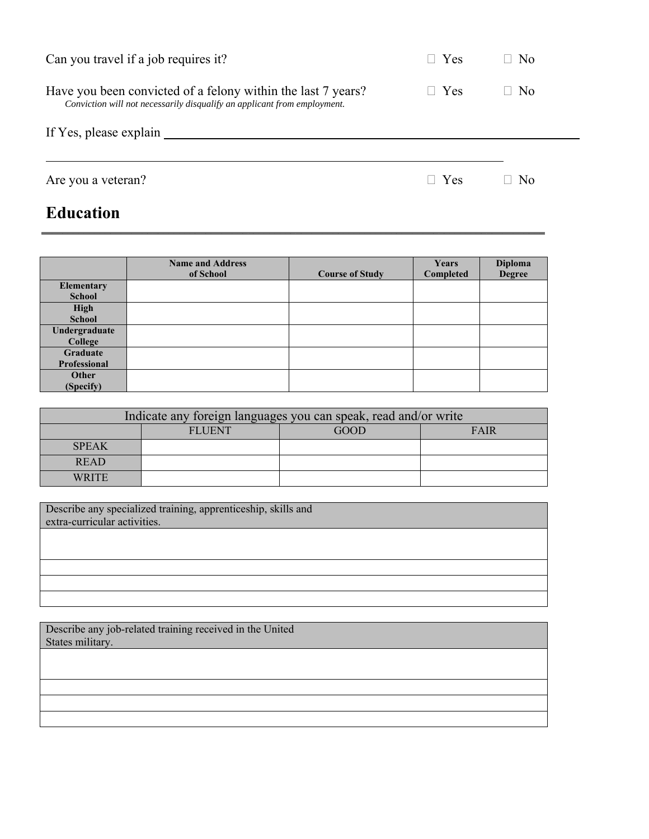| <b>Education</b>                                                                                                                         |               |                |  |
|------------------------------------------------------------------------------------------------------------------------------------------|---------------|----------------|--|
| Are you a veteran?                                                                                                                       | $\Box$ Yes    | No             |  |
| If Yes, please explain                                                                                                                   |               |                |  |
| Have you been convicted of a felony within the last 7 years?<br>Conviction will not necessarily disqualify an applicant from employment. | $\exists$ Yes | N <sub>o</sub> |  |
| Can you travel if a job requires it?                                                                                                     | $\Box$ Yes    | N <sub>0</sub> |  |

#### **Name and Address Course of Study Years Completed Diploma Degree Elementary School High School Undergraduate College Graduate Professional Other (Specify)**

 $\frac{1}{\sqrt{2\pi}}$  , and the set of the set of the set of the set of the set of the set of the set of the set of the set of the set of the set of the set of the set of the set of the set of the set of the set of the set of th

| Indicate any foreign languages you can speak, read and/or write |               |      |             |  |
|-----------------------------------------------------------------|---------------|------|-------------|--|
|                                                                 | <b>FLUENT</b> | GOOD | <b>FAIR</b> |  |
| <b>SPEAK</b>                                                    |               |      |             |  |
| <b>READ</b>                                                     |               |      |             |  |
| <b>WRITE</b>                                                    |               |      |             |  |

Describe any specialized training, apprenticeship, skills and extra-curricular activities.

Describe any job-related training received in the United States military.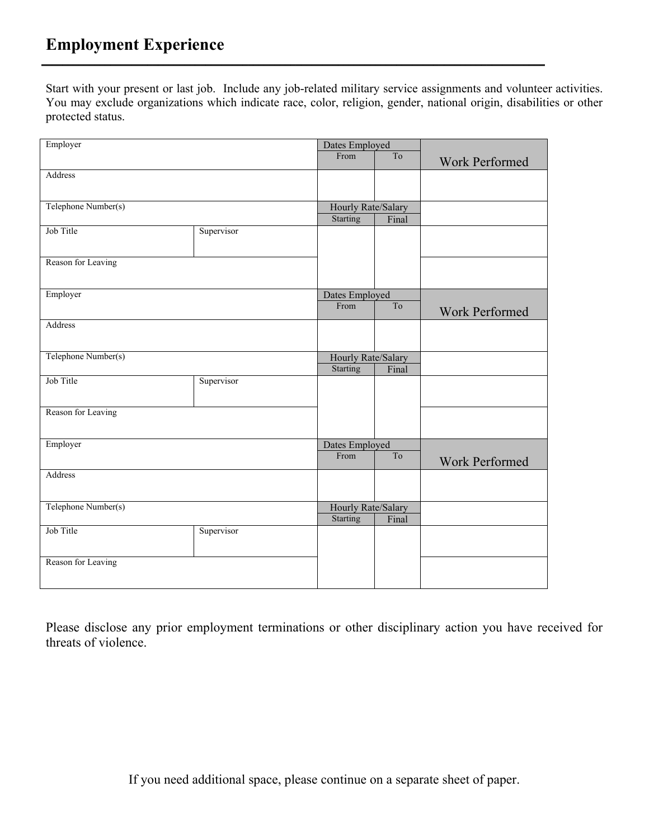Start with your present or last job. Include any job-related military service assignments and volunteer activities. You may exclude organizations which indicate race, color, religion, gender, national origin, disabilities or other protected status.

\_\_\_\_\_\_\_\_\_\_\_\_\_\_\_\_\_\_\_\_\_\_\_\_\_\_\_\_\_\_\_\_\_\_\_\_\_\_\_\_\_\_\_\_\_\_\_\_\_\_\_\_\_\_\_\_\_\_\_\_\_\_\_\_\_\_\_\_\_\_\_\_\_\_\_\_\_\_\_\_\_\_\_\_\_\_\_\_\_\_\_\_\_\_\_

| Employer            |            | Dates Employed                        |       |                       |
|---------------------|------------|---------------------------------------|-------|-----------------------|
|                     |            | From                                  | To    | Work Performed        |
| Address             |            |                                       |       |                       |
|                     |            |                                       |       |                       |
| Telephone Number(s) |            | Hourly Rate/Salary                    |       |                       |
|                     |            | Starting                              | Final |                       |
| Job Title           | Supervisor |                                       |       |                       |
| Reason for Leaving  |            |                                       |       |                       |
| Employer            |            | Dates Employed                        |       |                       |
|                     |            | From                                  | To    | Work Performed        |
| Address             |            |                                       |       |                       |
| Telephone Number(s) |            | Hourly Rate/Salary                    |       |                       |
| Job Title           |            | Starting                              | Final |                       |
|                     | Supervisor |                                       |       |                       |
| Reason for Leaving  |            |                                       |       |                       |
| Employer            |            | Dates Employed                        |       |                       |
|                     |            | From                                  | To    | <b>Work Performed</b> |
| Address             |            |                                       |       |                       |
| Telephone Number(s) |            | Hourly Rate/Salary<br><b>Starting</b> | Final |                       |
| Job Title           | Supervisor |                                       |       |                       |
|                     |            |                                       |       |                       |
| Reason for Leaving  |            |                                       |       |                       |
|                     |            |                                       |       |                       |

Please disclose any prior employment terminations or other disciplinary action you have received for threats of violence.

If you need additional space, please continue on a separate sheet of paper.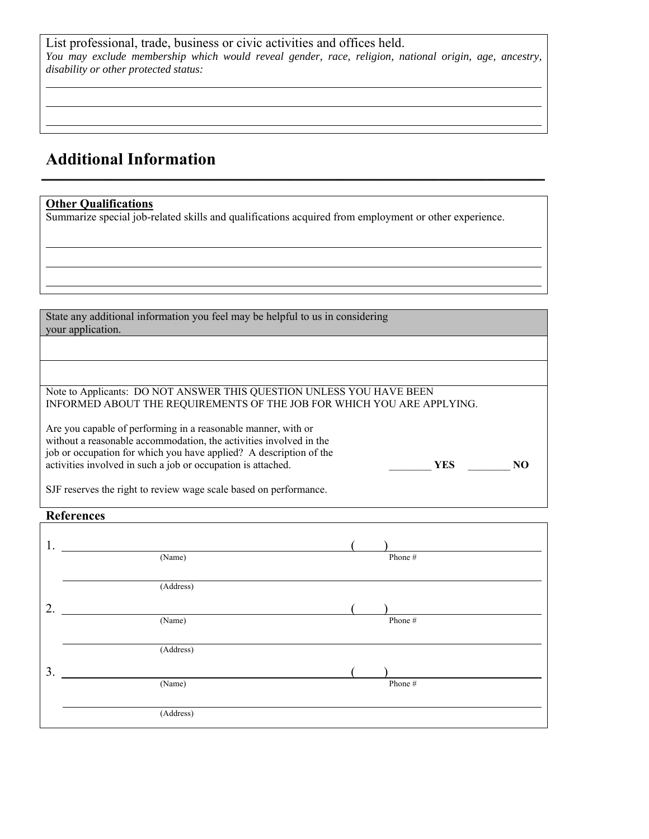List professional, trade, business or civic activities and offices held. *You may exclude membership which would reveal gender, race, religion, national origin, age, ancestry, disability or other protected status:* 

\_\_\_\_\_\_\_\_\_\_\_\_\_\_\_\_\_\_\_\_\_\_\_\_\_\_\_\_\_\_\_\_\_\_\_\_\_\_\_\_\_\_\_\_\_\_\_\_\_\_\_\_\_\_\_\_\_\_\_\_\_\_\_\_\_\_\_\_\_\_\_\_\_\_\_\_\_\_\_\_\_\_\_\_\_\_\_\_\_\_\_\_\_\_\_

## **Additional Information**

#### **Other Qualifications**

 $\overline{a}$ 

Summarize special job-related skills and qualifications acquired from employment or other experience.

State any additional information you feel may be helpful to us in considering your application.

Note to Applicants: DO NOT ANSWER THIS QUESTION UNLESS YOU HAVE BEEN INFORMED ABOUT THE REQUIREMENTS OF THE JOB FOR WHICH YOU ARE APPLYING.

Are you capable of performing in a reasonable manner, with or without a reasonable accommodation, the activities involved in the job or occupation for which you have applied? A description of the activities involved in such a job or occupation is attached. \_\_\_\_\_\_\_\_ **YES** \_\_\_\_\_\_\_\_ **NO** 

| ~<br>$-$ |  |
|----------|--|
|          |  |

SJF reserves the right to review wage scale based on performance.

### **References**

| 1. |                      |
|----|----------------------|
|    | (Name)<br>Phone #    |
|    | (Address)            |
| 2. |                      |
|    | (Name)<br>Phone #    |
|    |                      |
|    | (Address)            |
| 3. |                      |
|    | (Name)<br>Phone $\#$ |
|    |                      |
|    | (Address)            |